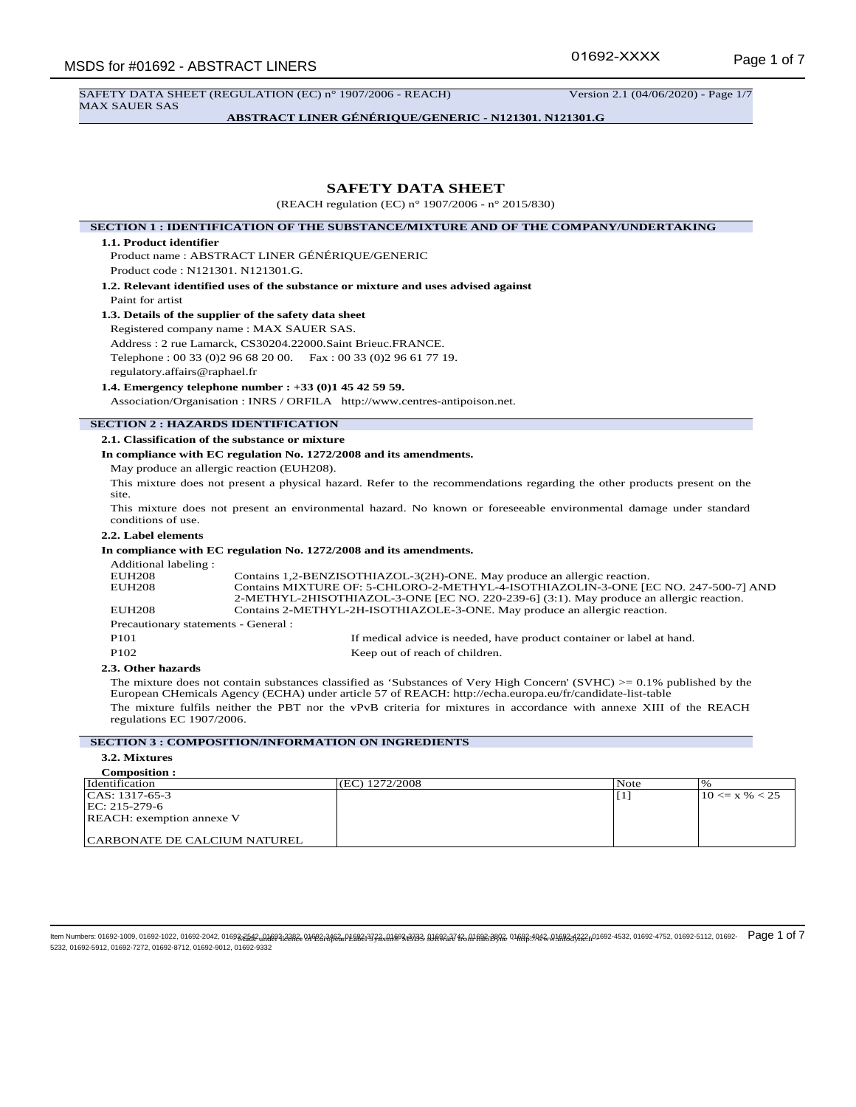SAFETY DATA SHEET (REGULATION (EC) n° 1907/2006 - REACH) Version 2.1 (04/06/2020) - Page 1/7 MAX SAUER SAS

**ABSTRACT LINER GÉNÉRIQUE/GENERIC - N121301. N121301.G**

# **SAFETY DATA SHEET**

(REACH regulation (EC) n° 1907/2006 - n° 2015/830)

**SECTION 1 : IDENTIFICATION OF THE SUBSTANCE/MIXTURE AND OF THE COMPANY/UNDERTAKING 1.1. Product identifier** Product name : ABSTRACT LINER GÉNÉRIQUE/GENERIC Product code : N121301. N121301.G. **1.2. Relevant identified uses of the substance or mixture and uses advised against** Paint for artist **1.3. Details of the supplier of the safety data sheet** Registered company name : MAX SAUER SAS. Address : 2 rue Lamarck, CS30204.22000.Saint Brieuc.FRANCE. Telephone : 00 33 (0)2 96 68 20 00. Fax : 00 33 (0)2 96 61 77 19. regulatory.affairs@raphael.fr **1.4. Emergency telephone number : +33 (0)1 45 42 59 59.** Association/Organisation : INRS / ORFILA http://www.centres-antipoison.net. **SECTION 2 : HAZARDS IDENTIFICATION 2.1. Classification of the substance or mixture In compliance with EC regulation No. 1272/2008 and its amendments.** May produce an allergic reaction (EUH208). This mixture does not present a physical hazard. Refer to the recommendations regarding the other products present on the site. This mixture does not present an environmental hazard. No known or foreseeable environmental damage under standard conditions of use. **2.2. Label elements In compliance with EC regulation No. 1272/2008 and its amendments.** Additional labeling : EUH208 Contains 1,2-BENZISOTHIAZOL-3(2H)-ONE. May produce an allergic reaction.<br>
Contains MIXTURE OF: 5-CHLORO-2-METHYL-4-ISOTHIAZOLIN-3-ONE [E Contains MIXTURE OF: 5-CHLORO-2-METHYL-4-ISOTHIAZOLIN-3-ONE [EC NO. 247-500-7] AND 2-METHYL-2HISOTHIAZOL-3-ONE [EC NO. 220-239-6] (3:1). May produce an allergic reaction. EUH208 Contains 2-METHYL-2H-ISOTHIAZOLE-3-ONE. May produce an allergic reaction. Precautionary statements - General : P101 If medical advice is needed, have product container or label at hand. P102 Keep out of reach of children. **2.3. Other hazards** The mixture does not contain substances classified as 'Substances of Very High Concern' (SVHC) >= 0.1% published by the European CHemicals Agency (ECHA) under article 57 of REACH: http://echa.europa.eu/fr/candidate-list-table The mixture fulfils neither the PBT nor the vPvB criteria for mixtures in accordance with annexe XIII of the REACH regulations EC 1907/2006. **SECTION 3 : COMPOSITION/INFORMATION ON INGREDIENTS 3.2. Mixtures Composition :**

| Composition .                    |                |      |                    |
|----------------------------------|----------------|------|--------------------|
| Identification                   | (EC) 1272/2008 | Note |                    |
| $ CAS: 1317-65-3$                |                | ' [1 | $10 \le x \% < 25$ |
| $ EC: 215-279-6$                 |                |      |                    |
| <b>REACH:</b> exemption annexe V |                |      |                    |
|                                  |                |      |                    |
| CARBONATE DE CALCIUM NATUREL     |                |      |                    |
|                                  |                |      |                    |

llem Numbers: 01692-1009, 01692-1022, 01692-2042, 01693<del>2/2020, 01082,3882,</del> 01<del>082.3882, 01082, 01082, 01082, 01882, 0188, 0188, 0188, 0188, 0188, 0188, 0188, 0188, 0188, 0188, 0188, 01882, 01692-4532, 01692-4532, 01692-</del> 5232, 01692-5912, 01692-7272, 01692-8712, 01692-9012, 01692-9332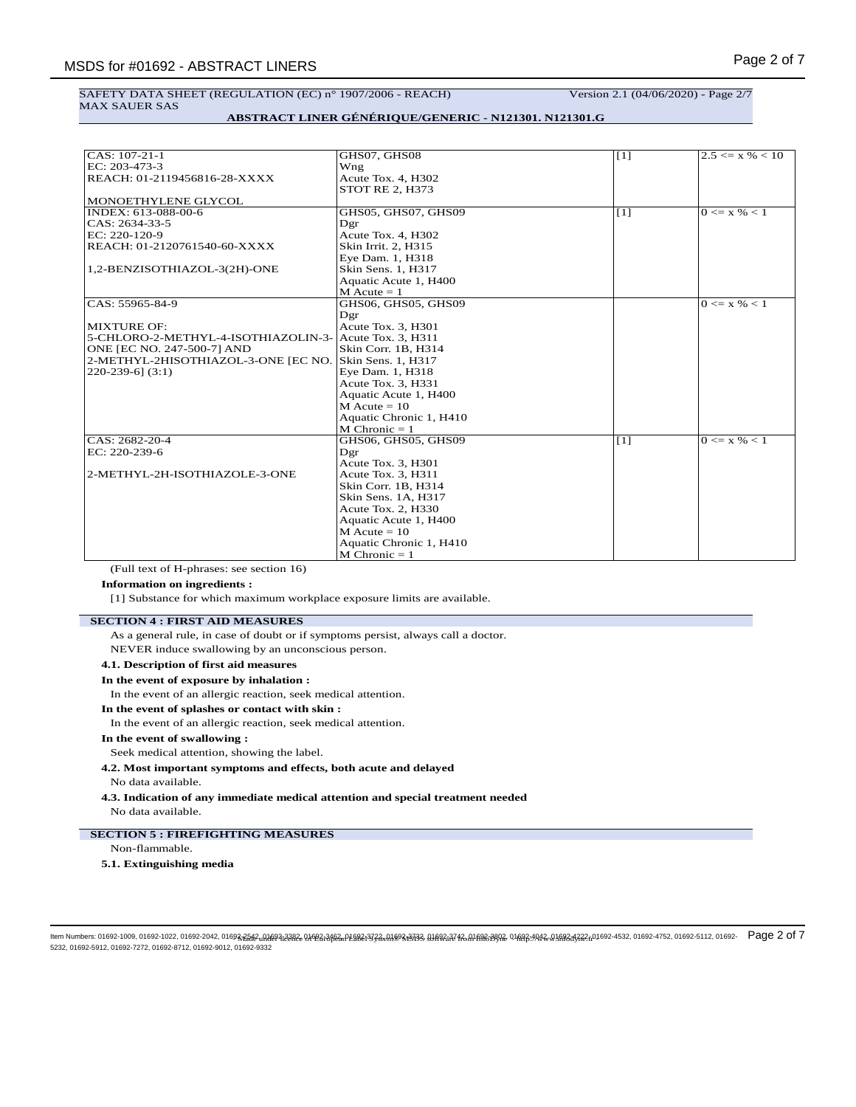# **ABSTRACT LINER GÉNÉRIQUE/GENERIC - N121301. N121301.G**

| $CAS: 107-21-1$                     | GHS07, GHS08            | $\lceil 1 \rceil$ | $2.5 \le x\% < 10$ |
|-------------------------------------|-------------------------|-------------------|--------------------|
| EC: 203-473-3                       | Wng                     |                   |                    |
| REACH: 01-2119456816-28-XXXX        | Acute Tox. 4, H302      |                   |                    |
|                                     | <b>STOT RE 2, H373</b>  |                   |                    |
| MONOETHYLENE GLYCOL                 |                         |                   |                    |
| INDEX: 613-088-00-6                 | GHS05, GHS07, GHS09     | [1]               | $0 \le x \% < 1$   |
| CAS: 2634-33-5                      | Dgr                     |                   |                    |
| EC: 220-120-9                       | Acute Tox. 4, H302      |                   |                    |
| REACH: 01-2120761540-60-XXXX        | Skin Irrit. 2, H315     |                   |                    |
|                                     | Eye Dam. 1, H318        |                   |                    |
| 1,2-BENZISOTHIAZOL-3(2H)-ONE        | Skin Sens. 1, H317      |                   |                    |
|                                     | Aquatic Acute 1, H400   |                   |                    |
|                                     | $M$ Acute = 1           |                   |                    |
| CAS: 55965-84-9                     | GHS06, GHS05, GHS09     |                   | $0 \le x \% < 1$   |
|                                     | Dgr                     |                   |                    |
| <b>MIXTURE OF:</b>                  | Acute Tox. 3, H301      |                   |                    |
| 5-CHLORO-2-METHYL-4-ISOTHIAZOLIN-3- | Acute Tox. 3, H311      |                   |                    |
| ONE [EC NO. 247-500-7] AND          | Skin Corr. 1B, H314     |                   |                    |
| 2-METHYL-2HISOTHIAZOL-3-ONE [EC NO. | Skin Sens. 1, H317      |                   |                    |
| $220-239-6$ ] $(3:1)$               | Eye Dam. 1, H318        |                   |                    |
|                                     | Acute Tox. 3, H331      |                   |                    |
|                                     | Aquatic Acute 1, H400   |                   |                    |
|                                     | $M$ Acute = 10          |                   |                    |
|                                     | Aquatic Chronic 1, H410 |                   |                    |
|                                     | $M$ Chronic = 1         |                   |                    |
| CAS: 2682-20-4                      | GHS06, GHS05, GHS09     | [1]               | $0 \le x \% < 1$   |
| EC: 220-239-6                       |                         |                   |                    |
|                                     | Dgr                     |                   |                    |
|                                     | Acute Tox. 3, H301      |                   |                    |
| 2-METHYL-2H-ISOTHIAZOLE-3-ONE       | Acute Tox. 3, H311      |                   |                    |
|                                     | Skin Corr. 1B, H314     |                   |                    |
|                                     | Skin Sens. 1A, H317     |                   |                    |
|                                     | Acute Tox. 2, H330      |                   |                    |
|                                     | Aquatic Acute 1, H400   |                   |                    |
|                                     | $M$ Acute = 10          |                   |                    |
|                                     | Aquatic Chronic 1, H410 |                   |                    |
|                                     | $M$ Chronic = 1         |                   |                    |

(Full text of H-phrases: see section 16)

## **Information on ingredients :**

[1] Substance for which maximum workplace exposure limits are available.

# **SECTION 4 : FIRST AID MEASURES**

As a general rule, in case of doubt or if symptoms persist, always call a doctor.

NEVER induce swallowing by an unconscious person.

# **4.1. Description of first aid measures**

**In the event of exposure by inhalation :**

In the event of an allergic reaction, seek medical attention.

**In the event of splashes or contact with skin :**

In the event of an allergic reaction, seek medical attention.

# **In the event of swallowing :**

Seek medical attention, showing the label.

**4.2. Most important symptoms and effects, both acute and delayed** No data available.

**4.3. Indication of any immediate medical attention and special treatment needed** No data available.

## **SECTION 5 : FIREFIGHTING MEASURES**

# Non-flammable.

**5.1. Extinguishing media**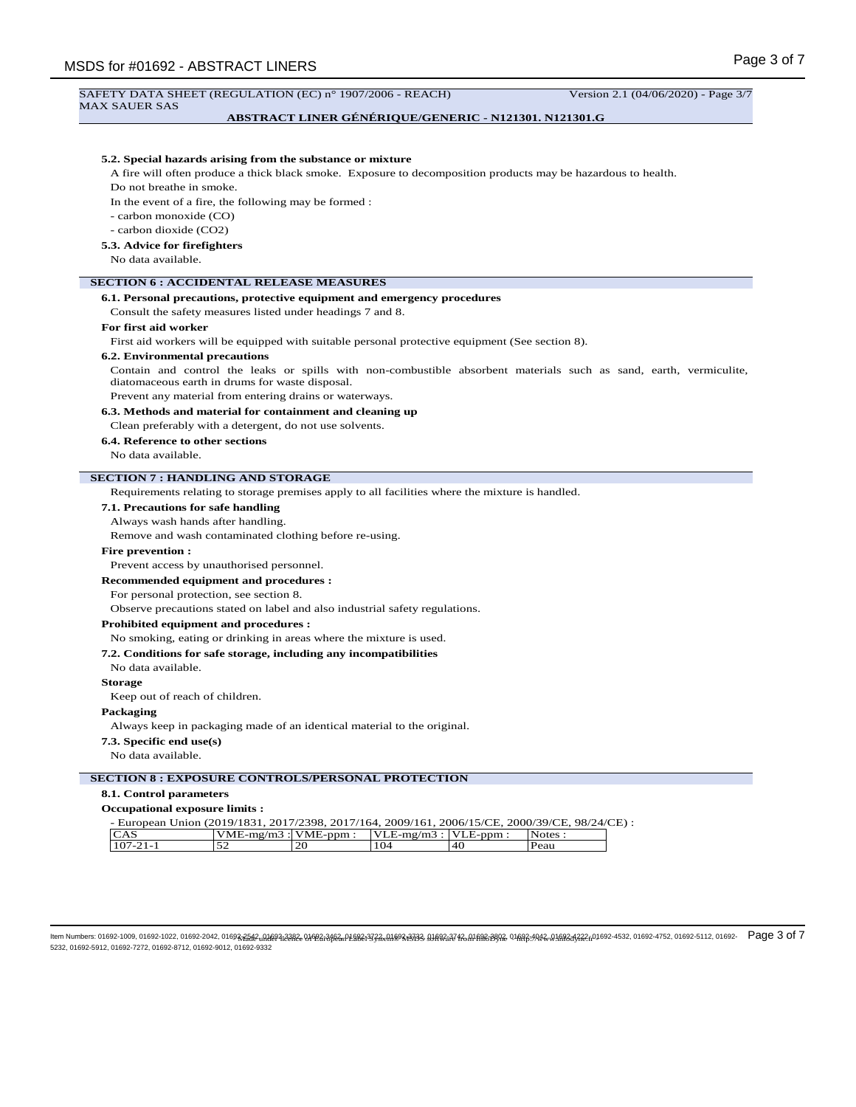#### SAFETY DATA SHEET (REGULATION (EC) n° 1907/2006 - REACH) Version 2.1 (04/06/2020) - Page 3/7 MAX SAUER SAS

## **ABSTRACT LINER GÉNÉRIQUE/GENERIC - N121301. N121301.G**

## **5.2. Special hazards arising from the substance or mixture**

A fire will often produce a thick black smoke. Exposure to decomposition products may be hazardous to health.

Do not breathe in smoke.

In the event of a fire, the following may be formed :

- carbon monoxide (CO)
- carbon dioxide (CO2)

## **5.3. Advice for firefighters**

No data available.

# **SECTION 6 : ACCIDENTAL RELEASE MEASURES**

#### **6.1. Personal precautions, protective equipment and emergency procedures**

Consult the safety measures listed under headings 7 and 8.

#### **For first aid worker**

First aid workers will be equipped with suitable personal protective equipment (See section 8).

## **6.2. Environmental precautions**

Contain and control the leaks or spills with non-combustible absorbent materials such as sand, earth, vermiculite, diatomaceous earth in drums for waste disposal.

Prevent any material from entering drains or waterways.

**6.3. Methods and material for containment and cleaning up**

# Clean preferably with a detergent, do not use solvents.

**6.4. Reference to other sections**

No data available.

# **SECTION 7 : HANDLING AND STORAGE**

Requirements relating to storage premises apply to all facilities where the mixture is handled.

# **7.1. Precautions for safe handling**

Always wash hands after handling.

Remove and wash contaminated clothing before re-using.

## **Fire prevention :**

Prevent access by unauthorised personnel.

#### **Recommended equipment and procedures :**

For personal protection, see section 8.

Observe precautions stated on label and also industrial safety regulations.

## **Prohibited equipment and procedures :**

No smoking, eating or drinking in areas where the mixture is used.

## **7.2. Conditions for safe storage, including any incompatibilities**

No data available.

# **Storage**

Keep out of reach of children.

#### **Packaging**

Always keep in packaging made of an identical material to the original.

**7.3. Specific end use(s)**

## No data available.

## **SECTION 8 : EXPOSURE CONTROLS/PERSONAL PROTECTION**

## **8.1. Control parameters**

#### **Occupational exposure limits :**

- European Union (2019/1831, 2017/2398, 2017/164, 2009/161, 2006/15/CE, 2000/39/CE, 98/24/CE) :

| $\Lambda$<br>CT | ±-mg/m3<br>$\mathbf{V}$ ML | : bpm:<br><b>VME</b> | .-me<br>VLE | 'LE-ppm :      |      |
|-----------------|----------------------------|----------------------|-------------|----------------|------|
| 107             |                            | 20                   | 104         | $\Delta$<br>+v | 'eau |

llem Numbers: 01692-1009, 01692-1022, 01692-2042, 01693<del>2/2020, 01082,3882,</del> 01<del>082.3882, 01082, 01082, 01082, 0188, 0188, 0188, 0188, 0188, 0188, 0188, 0188, 0188, 0188, 0188, 0188, 01882, 01692-4532, 01692-4532, 01692-4</del> 5232, 01692-5912, 01692-7272, 01692-8712, 01692-9012, 01692-9332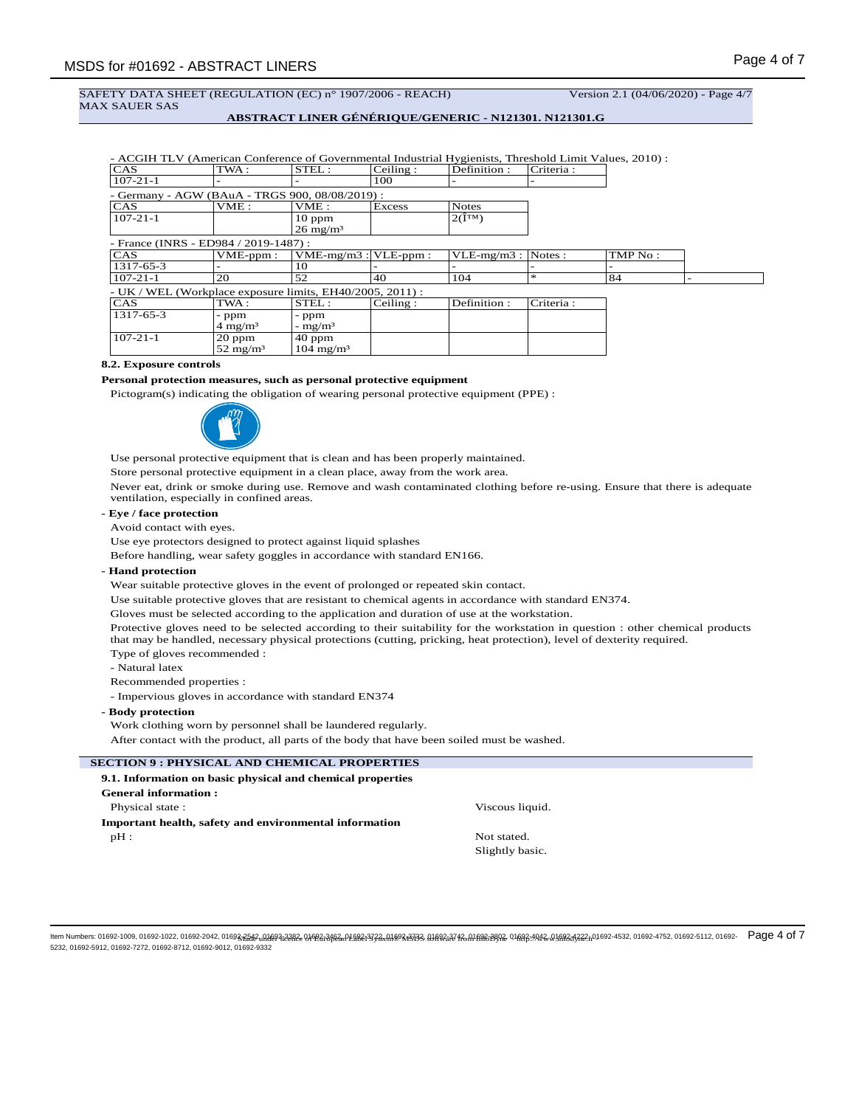SAFETY DATA SHEET (REGULATION (EC) n° 1907/2006 - REACH) Version 2.1 (04/06/2020) - Page 4/7 MAX SAUER SAS

## **ABSTRACT LINER GÉNÉRIQUE/GENERIC - N121301. N121301.G**

| - ACGIH TLV (American Conference of Governmental Industrial Hygienists, Threshold Limit Values, 2010) : |                     |                         |          |                   |           |         |  |
|---------------------------------------------------------------------------------------------------------|---------------------|-------------------------|----------|-------------------|-----------|---------|--|
| <b>CAS</b>                                                                                              | TWA:                | STEL:                   | Ceiling: | Definition:       | Criteria: |         |  |
| $107 - 21 - 1$                                                                                          |                     |                         | 100      |                   |           |         |  |
| - Germany - AGW (BAuA - TRGS 900, 08/08/2019) :                                                         |                     |                         |          |                   |           |         |  |
| <b>CAS</b>                                                                                              | VME:                | VME:                    | Excess   | <b>Notes</b>      |           |         |  |
| $107 - 21 - 1$                                                                                          |                     | $10$ ppm                |          | $2(\hat{I}^{TM})$ |           |         |  |
|                                                                                                         |                     | $26 \text{ mg/m}^3$     |          |                   |           |         |  |
| - France (INRS - ED984 / 2019-1487) :                                                                   |                     |                         |          |                   |           |         |  |
| <b>CAS</b>                                                                                              | $VME-ppm$ :         | $VME-mg/m3$ : VLE-ppm : |          | $VLE-mg/m3$ :     | Notes:    | TMP No: |  |
| 1317-65-3                                                                                               |                     | 10                      |          |                   |           |         |  |
| $107 - 21 - 1$                                                                                          | 20                  | 52                      | 40       | 104               | ×.        | 84      |  |
| - UK / WEL (Workplace exposure limits, EH40/2005, 2011) :                                               |                     |                         |          |                   |           |         |  |
| CAS                                                                                                     | TWA:                | STEL:                   | Ceiling: | Definition:       | Criteria: |         |  |
| 1317-65-3                                                                                               | - ppm               | - ppm                   |          |                   |           |         |  |
|                                                                                                         | $4 \text{ mg/m}^3$  | - $mg/m^3$              |          |                   |           |         |  |
| $107 - 21 - 1$                                                                                          | $20$ ppm            | $ 40$ ppm               |          |                   |           |         |  |
|                                                                                                         | $52 \text{ mg/m}^3$ | $104 \text{ mg/m}^3$    |          |                   |           |         |  |

#### **8.2. Exposure controls**

#### **Personal protection measures, such as personal protective equipment**

Pictogram(s) indicating the obligation of wearing personal protective equipment (PPE) :



Use personal protective equipment that is clean and has been properly maintained.

Store personal protective equipment in a clean place, away from the work area.

Never eat, drink or smoke during use. Remove and wash contaminated clothing before re-using. Ensure that there is adequate ventilation, especially in confined areas.

# **- Eye / face protection**

Avoid contact with eyes.

Use eye protectors designed to protect against liquid splashes

Before handling, wear safety goggles in accordance with standard EN166.

# **- Hand protection**

Wear suitable protective gloves in the event of prolonged or repeated skin contact.

Use suitable protective gloves that are resistant to chemical agents in accordance with standard EN374.

Gloves must be selected according to the application and duration of use at the workstation.

Protective gloves need to be selected according to their suitability for the workstation in question : other chemical products that may be handled, necessary physical protections (cutting, pricking, heat protection), level of dexterity required.

Type of gloves recommended :

- Natural latex

Recommended properties :

- Impervious gloves in accordance with standard EN374

# **- Body protection**

Work clothing worn by personnel shall be laundered regularly.

After contact with the product, all parts of the body that have been soiled must be washed.

# **SECTION 9 : PHYSICAL AND CHEMICAL PROPERTIES**

| 9.1. Information on basic physical and chemical properties |                 |
|------------------------------------------------------------|-----------------|
| <b>General information:</b>                                |                 |
| Physical state:                                            | Viscous liquid. |
| Important health, safety and environmental information     |                 |
| $pH$ :                                                     | Not stated.     |
|                                                            | Slightly basic. |

llem Numbers: 01692-1009, 01692-1022, 01692-2042, 01693<del>2/2020, 01082,3882,</del> 01<del>082.3882, 01082, 01082, 01082, 01882, 0188, 0188, 0188, 0188, 0188, 0188, 0188, 0188, 0188, 0188, 0188, 01882-10989-4532, 01692-4752, 01692-5</del> 5232, 01692-5912, 01692-7272, 01692-8712, 01692-9012, 01692-9332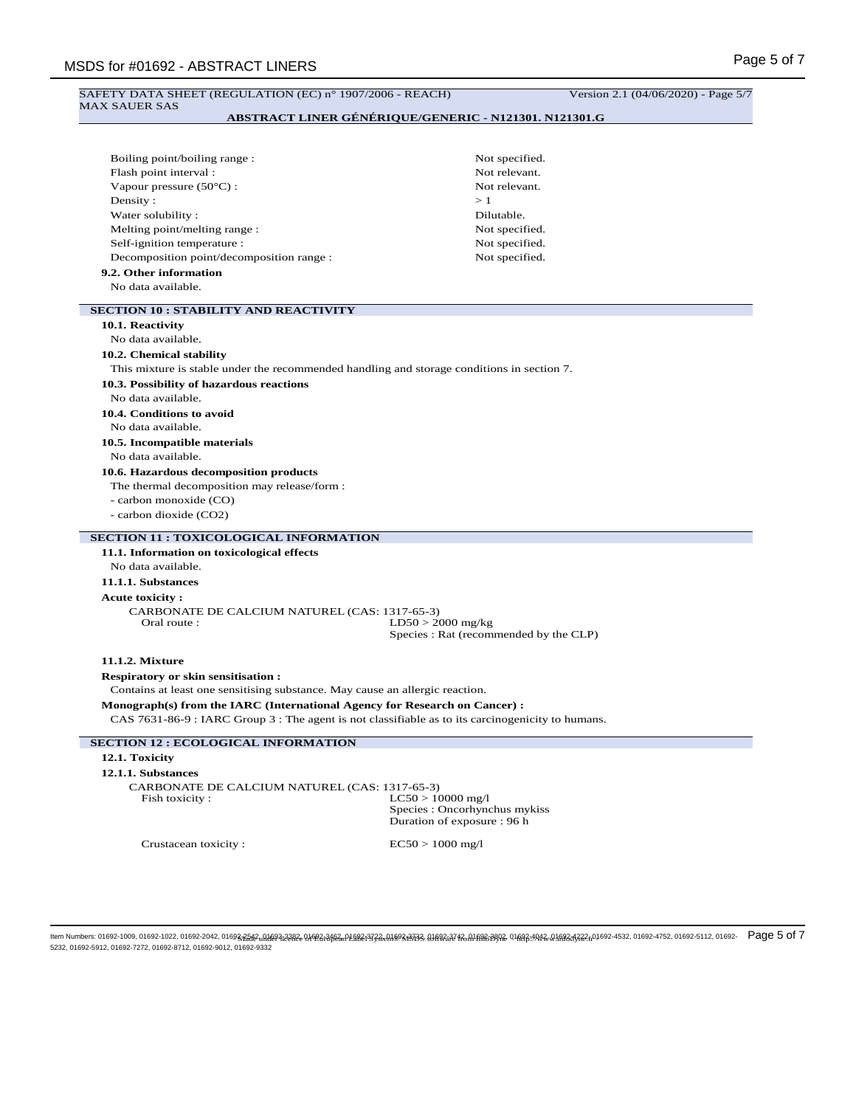| SAFETY DATA SHEET (REGULATION (EC) n° 1907/2006 - REACH)<br>MAX SAUER SAS                                           | Version 2.1 (04/06/2020) - Page 5/7<br>ABSTRACT LINER GÉNÉRIQUE/GENERIC - N121301. N121301.G |
|---------------------------------------------------------------------------------------------------------------------|----------------------------------------------------------------------------------------------|
|                                                                                                                     |                                                                                              |
|                                                                                                                     |                                                                                              |
| Boiling point/boiling range :                                                                                       | Not specified.                                                                               |
| Flash point interval:                                                                                               | Not relevant.                                                                                |
| Vapour pressure $(50^{\circ}C)$ :                                                                                   | Not relevant.                                                                                |
| Density:                                                                                                            | >1                                                                                           |
| Water solubility:                                                                                                   | Dilutable.                                                                                   |
| Melting point/melting range :                                                                                       | Not specified.                                                                               |
| Self-ignition temperature :                                                                                         | Not specified.                                                                               |
| Decomposition point/decomposition range :                                                                           | Not specified.                                                                               |
| 9.2. Other information                                                                                              |                                                                                              |
| No data available.                                                                                                  |                                                                                              |
| <b>SECTION 10 : STABILITY AND REACTIVITY</b>                                                                        |                                                                                              |
| 10.1. Reactivity                                                                                                    |                                                                                              |
| No data available.                                                                                                  |                                                                                              |
| 10.2. Chemical stability                                                                                            |                                                                                              |
| This mixture is stable under the recommended handling and storage conditions in section 7.                          |                                                                                              |
| 10.3. Possibility of hazardous reactions                                                                            |                                                                                              |
| No data available.                                                                                                  |                                                                                              |
| 10.4. Conditions to avoid                                                                                           |                                                                                              |
| No data available.                                                                                                  |                                                                                              |
| 10.5. Incompatible materials                                                                                        |                                                                                              |
| No data available.                                                                                                  |                                                                                              |
| 10.6. Hazardous decomposition products                                                                              |                                                                                              |
| The thermal decomposition may release/form :                                                                        |                                                                                              |
| - carbon monoxide (CO)                                                                                              |                                                                                              |
| - carbon dioxide (CO2)                                                                                              |                                                                                              |
| <b>SECTION 11 : TOXICOLOGICAL INFORMATION</b>                                                                       |                                                                                              |
| 11.1. Information on toxicological effects                                                                          |                                                                                              |
| No data available.                                                                                                  |                                                                                              |
| 11.1.1. Substances                                                                                                  |                                                                                              |
| <b>Acute toxicity:</b>                                                                                              |                                                                                              |
| CARBONATE DE CALCIUM NATUREL (CAS: 1317-65-3)                                                                       |                                                                                              |
| Oral route:                                                                                                         | $LD50 > 2000$ mg/kg                                                                          |
|                                                                                                                     | Species : Rat (recommended by the CLP)                                                       |
| 11.1.2. Mixture                                                                                                     |                                                                                              |
|                                                                                                                     |                                                                                              |
| Respiratory or skin sensitisation :<br>Contains at least one sensitising substance. May cause an allergic reaction. |                                                                                              |
| Monograph(s) from the IARC (International Agency for Research on Cancer) :                                          |                                                                                              |
| CAS 7631-86-9 : IARC Group 3 : The agent is not classifiable as to its carcinogenicity to humans.                   |                                                                                              |
|                                                                                                                     |                                                                                              |
| <b>SECTION 12 : ECOLOGICAL INFORMATION</b>                                                                          |                                                                                              |
| 12.1. Toxicity                                                                                                      |                                                                                              |
| 12.1.1. Substances                                                                                                  |                                                                                              |
| CARBONATE DE CALCIUM NATUREL (CAS: 1317-65-3)                                                                       |                                                                                              |
| Fish toxicity:                                                                                                      | $LC50 > 10000$ mg/l<br>Species: Oncorhynchus mykiss                                          |
|                                                                                                                     | Duration of exposure : 96 h                                                                  |
|                                                                                                                     |                                                                                              |
| Crustacean toxicity:                                                                                                | $EC50 > 1000$ mg/l                                                                           |

llem Numbers: 01692-1009, 01692-1022, 01692-2042, 01693<del>2/2020, 01082,3882,</del> 01<del>082.3882, 01082, 01082, 01082, 01882, 0188, 0188, 0188, 0188, 0188, 0188, 0188, 0188, 0188, 0188, 0188, 01882-10989-4532, 01692-4532, 01692-4</del> 5232, 01692-5912, 01692-7272, 01692-8712, 01692-9012, 01692-9332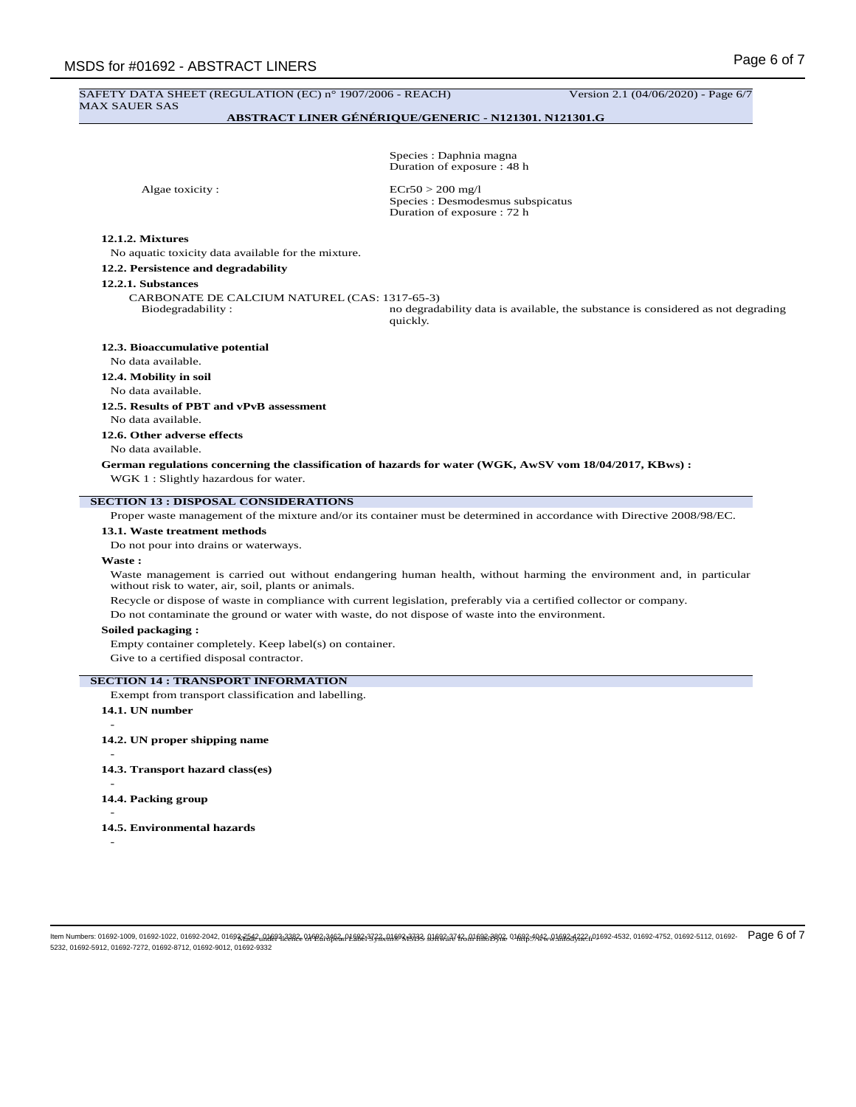# SAFETY DATA SHEET (REGULATION (EC) n° 1907/2006 - REACH) Version 2.1 (04/06/2020) - Page 6/7 MAX SAUER SAS

# **ABSTRACT LINER GÉNÉRIQUE/GENERIC - N121301. N121301.G**

Species : Daphnia magna Duration of exposure : 48 h

Algae toxicity :  $\text{ECr50} > 200 \text{ mg/l}$ Species : Desmodesmus subspicatus Duration of exposure : 72 h

# **12.1.2. Mixtures**

No aquatic toxicity data available for the mixture.

**12.2. Persistence and degradability**

#### **12.2.1. Substances**

CARBONATE DE CALCIUM NATUREL (CAS: 1317-65-3)

no degradability data is available, the substance is considered as not degrading quickly.

## **12.3. Bioaccumulative potential**

No data available.

# **12.4. Mobility in soil**

No data available.

# **12.5. Results of PBT and vPvB assessment**

No data available.

**12.6. Other adverse effects**

No data available.

**German regulations concerning the classification of hazards for water (WGK, AwSV vom 18/04/2017, KBws) :** WGK 1 : Slightly hazardous for water.

# **SECTION 13 : DISPOSAL CONSIDERATIONS**

Proper waste management of the mixture and/or its container must be determined in accordance with Directive 2008/98/EC.

## **13.1. Waste treatment methods**

Do not pour into drains or waterways.

# **Waste :**

Waste management is carried out without endangering human health, without harming the environment and, in particular without risk to water, air, soil, plants or animals.

Recycle or dispose of waste in compliance with current legislation, preferably via a certified collector or company.

Do not contaminate the ground or water with waste, do not dispose of waste into the environment.

# **Soiled packaging :**

Empty container completely. Keep label(s) on container.

Give to a certified disposal contractor.

## **SECTION 14 : TRANSPORT INFORMATION**

Exempt from transport classification and labelling.

**14.1. UN number** - **14.2. UN proper shipping name** - **14.3. Transport hazard class(es)** - **14.4. Packing group** - **14.5. Environmental hazards** -

llem Numbers: 01692-1009, 01692-1022, 01692-2042, 01693<del>2/2020, 01082,3882,</del> 01<del>082.3882, 01082, 01082, 01082, 0188, 0188, 0188, 1088, 0188, 0188, 0188, 0188, 0188, 0188, 0188, 0188, 01882, 01692-4532, 01692-4532, 01692-4</del> 5232, 01692-5912, 01692-7272, 01692-8712, 01692-9012, 01692-9332